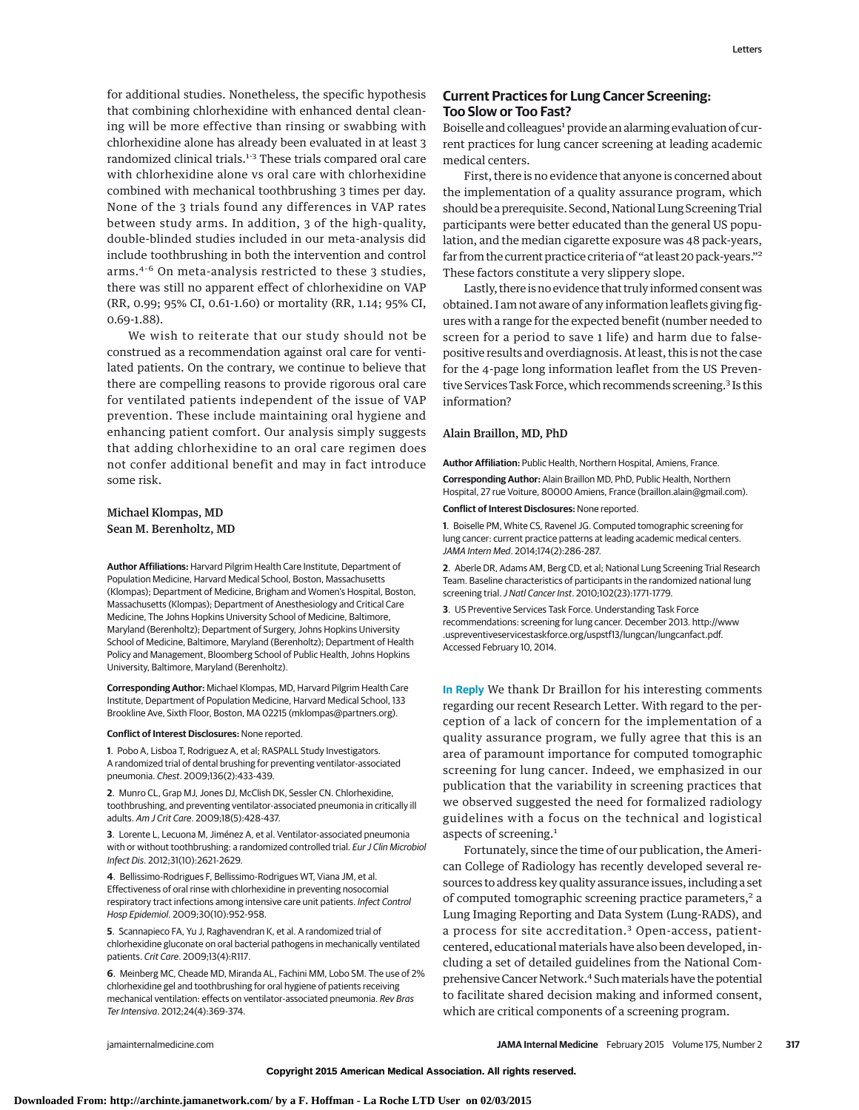for additional studies. Nonetheless, the specific hypothesis that combining chlorhexidine with enhanced dental cleaning will be more effective than rinsing or swabbing with chlorhexidine alone has already been evaluated in at least 3 randomized clinical trials.<sup>1-3</sup> These trials compared oral care with chlorhexidine alone vs oral care with chlorhexidine combined with mechanical toothbrushing 3 times per day. None of the 3 trials found any differences in VAP rates between study arms. In addition, 3 of the high-quality, double-blinded studies included in our meta-analysis did include toothbrushing in both the intervention and control arms.4-6 On meta-analysis restricted to these 3 studies, there was still no apparent effect of chlorhexidine on VAP (RR, 0.99; 95% CI, 0.61-1.60) or mortality (RR, 1.14; 95% CI, 0.69-1.88).

We wish to reiterate that our study should not be construed as a recommendation against oral care for ventilated patients. On the contrary, we continue to believe that there are compelling reasons to provide rigorous oral care for ventilated patients independent of the issue of VAP prevention. These include maintaining oral hygiene and enhancing patient comfort. Our analysis simply suggests that adding chlorhexidine to an oral care regimen does not confer additional benefit and may in fact introduce some risk.

# Michael Klompas, MD Sean M. Berenholtz, MD

**Author Affiliations:** Harvard Pilgrim Health Care Institute, Department of Population Medicine, Harvard Medical School, Boston, Massachusetts (Klompas); Department of Medicine, Brigham and Women's Hospital, Boston, Massachusetts (Klompas); Department of Anesthesiology and Critical Care Medicine, The Johns Hopkins University School of Medicine, Baltimore, Maryland (Berenholtz); Department of Surgery, Johns Hopkins University School of Medicine, Baltimore, Maryland (Berenholtz); Department of Health Policy and Management, Bloomberg School of Public Health, Johns Hopkins University, Baltimore, Maryland (Berenholtz).

**Corresponding Author:** Michael Klompas, MD, Harvard Pilgrim Health Care Institute, Department of Population Medicine, Harvard Medical School, 133 Brookline Ave, Sixth Floor, Boston, MA 02215 [\(mklompas@partners.org\)](mailto:mklompas@partners.org).

### **Conflict of Interest Disclosures:** None reported.

**1**. Pobo A, Lisboa T, Rodriguez A, et al; RASPALL Study Investigators. A randomized trial of dental brushing for preventing ventilator-associated pneumonia. Chest[. 2009;136\(2\):433-439.](http://www.ncbi.nlm.nih.gov/pubmed/19482956)

**2**. Munro CL, Grap MJ, Jones DJ, McClish DK, Sessler CN. Chlorhexidine, toothbrushing, and preventing ventilator-associated pneumonia in critically ill adults. Am J Crit Care[. 2009;18\(5\):428-437.](http://www.ncbi.nlm.nih.gov/pubmed/19723863)

**3**. Lorente L, Lecuona M, Jiménez A, et al. Ventilator-associated pneumonia with or without toothbrushing: a randomized controlled trial. [Eur J Clin Microbiol](http://www.ncbi.nlm.nih.gov/pubmed/22422274) Infect Dis[. 2012;31\(10\):2621-2629.](http://www.ncbi.nlm.nih.gov/pubmed/22422274)

**4**. Bellissimo-Rodrigues F, Bellissimo-Rodrigues WT, Viana JM, et al. Effectiveness of oral rinse with chlorhexidine in preventing nosocomial respiratory tract infections among intensive care unit patients. [Infect Control](http://www.ncbi.nlm.nih.gov/pubmed/19743899) Hosp Epidemiol[. 2009;30\(10\):952-958.](http://www.ncbi.nlm.nih.gov/pubmed/19743899)

**5**. Scannapieco FA, Yu J, Raghavendran K, et al. A randomized trial of chlorhexidine gluconate on oral bacterial pathogens in mechanically ventilated patients. Crit Care[. 2009;13\(4\):R117.](http://www.ncbi.nlm.nih.gov/pubmed/19765321)

**6**. Meinberg MC, Cheade MD, Miranda AL, Fachini MM, Lobo SM. The use of 2% chlorhexidine gel and toothbrushing for oral hygiene of patients receiving mechanical ventilation: effects on ventilator-associated pneumonia. [Rev Bras](http://www.ncbi.nlm.nih.gov/pubmed/23917935) Ter Intensiva[. 2012;24\(4\):369-374.](http://www.ncbi.nlm.nih.gov/pubmed/23917935)

## **Current Practices for Lung Cancer Screening: Too Slow or Too Fast?**

Boiselle and colleagues<sup>1</sup> provide an alarming evaluation of current practices for lung cancer screening at leading academic medical centers.

First, there is no evidence that anyone is concerned about the implementation of a quality assurance program, which should be a prerequisite. Second, National Lung Screening Trial participants were better educated than the general US population, and the median cigarette exposure was 48 pack-years, far from the current practice criteria of "at least 20 pack-years."2 These factors constitute a very slippery slope.

Lastly, there is no evidence that truly informed consentwas obtained. I am not aware of any information leaflets giving figures with a range for the expected benefit (number needed to screen for a period to save 1 life) and harm due to falsepositive results and overdiagnosis. At least, this is not the case for the 4-page long information leaflet from the US Preventive Services Task Force, which recommends screening.<sup>3</sup> Is this information?

### Alain Braillon, MD, PhD

**Author Affiliation:** Public Health, Northern Hospital, Amiens, France.

**Corresponding Author:** Alain Braillon MD, PhD, Public Health, Northern Hospital, 27 rue Voiture, 80000 Amiens, France [\(braillon.alain@gmail.com\)](mailto:braillon.alain@gmail.com).

**Conflict of Interest Disclosures:** None reported.

**1**. Boiselle PM, White CS, Ravenel JG. Computed tomographic screening for lung cancer: current practice patterns at leading academic medical centers. JAMA Intern Med[. 2014;174\(2\):286-287.](http://www.ncbi.nlm.nih.gov/pubmed/24322527)

**2**. Aberle DR, Adams AM, Berg CD, et al; National Lung Screening Trial Research Team. Baseline characteristics of participants in the randomized national lung screening trial. J Natl Cancer Inst[. 2010;102\(23\):1771-1779.](http://www.ncbi.nlm.nih.gov/pubmed/21119104)

**3**. US Preventive Services Task Force. Understanding Task Force recommendations: screening for lung cancer. December 2013. [http://www](http://www.uspreventiveservicestaskforce.org/uspstf13/lungcan/lungcanfact.pdf) [.uspreventiveservicestaskforce.org/uspstf13/lungcan/lungcanfact.pdf.](http://www.uspreventiveservicestaskforce.org/uspstf13/lungcan/lungcanfact.pdf) Accessed February 10, 2014.

**In Reply** We thank Dr Braillon for his interesting comments regarding our recent Research Letter. With regard to the perception of a lack of concern for the implementation of a quality assurance program, we fully agree that this is an area of paramount importance for computed tomographic screening for lung cancer. Indeed, we emphasized in our publication that the variability in screening practices that we observed suggested the need for formalized radiology guidelines with a focus on the technical and logistical aspects of screening.<sup>1</sup>

Fortunately, since the time of our publication, the American College of Radiology has recently developed several resources to address key quality assurance issues, including a set of computed tomographic screening practice parameters,<sup>2</sup> a Lung Imaging Reporting and Data System (Lung-RADS), and a process for site accreditation.<sup>3</sup> Open-access, patientcentered, educational materials have also been developed, including a set of detailed guidelines from the National Comprehensive Cancer Network.4 Suchmaterials have the potential to facilitate shared decision making and informed consent, which are critical components of a screening program.